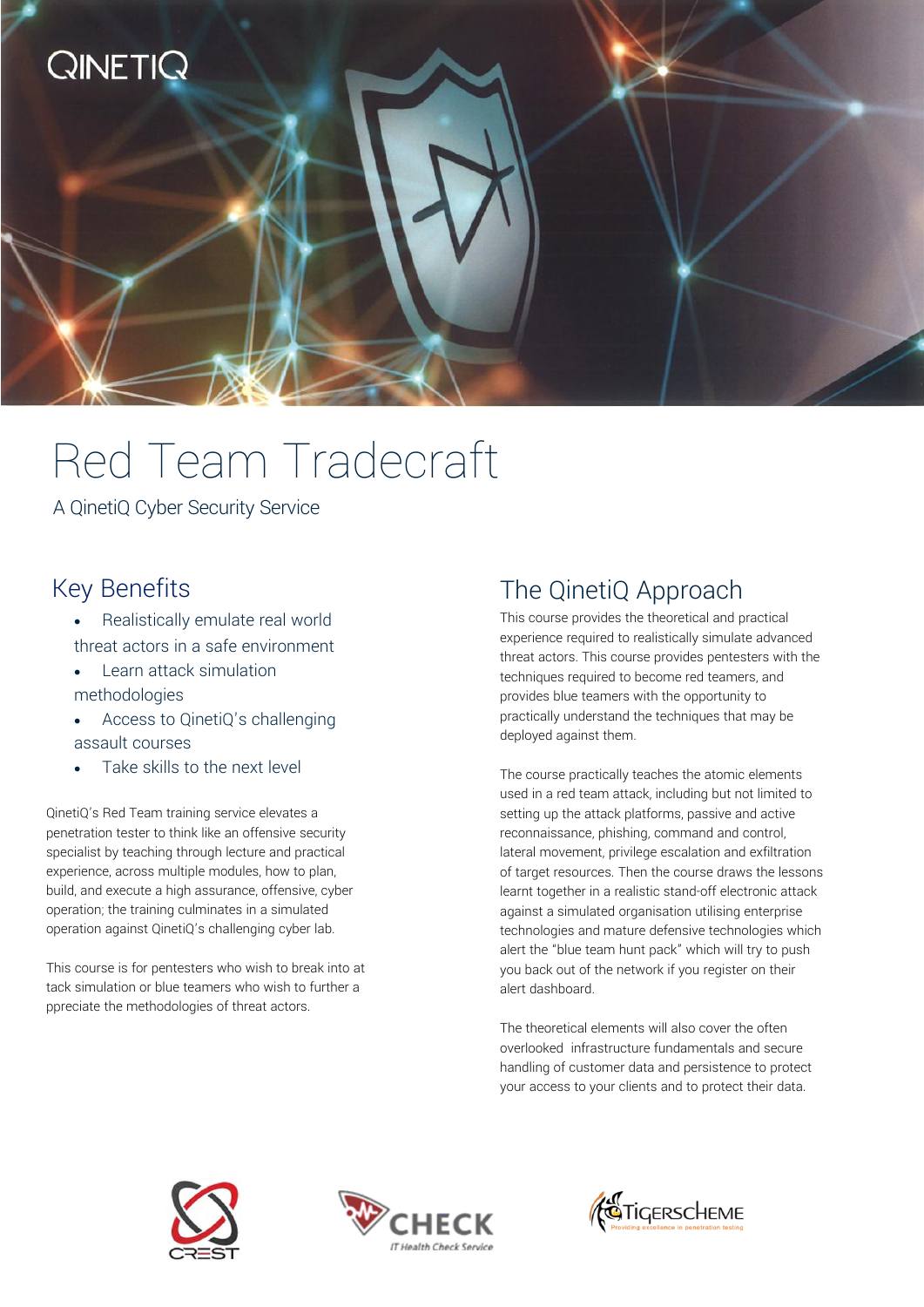

# Red Team Tradecraft

A QinetiQ Cyber Security Service

#### Key Benefits

- Realistically emulate real world threat actors in a safe environment
- Learn attack simulation methodologies
- Access to QinetiQ's challenging assault courses
- Take skills to the next level

QinetiQ's Red Team training service elevates a penetration tester to think like an offensive security specialist by teaching through lecture and practical experience, across multiple modules, how to plan, build, and execute a high assurance, offensive, cyber operation; the training culminates in a simulated operation against QinetiQ's challenging cyber lab.

This course is for pentesters who wish to break into at tack simulation or blue teamers who wish to further a ppreciate the methodologies of threat actors.

### The QinetiQ Approach

This course provides the theoretical and practical experience required to realistically simulate advanced threat actors. This course provides pentesters with the techniques required to become red teamers, and provides blue teamers with the opportunity to practically understand the techniques that may be deployed against them.

The course practically teaches the atomic elements used in a red team attack, including but not limited to setting up the attack platforms, passive and active reconnaissance, phishing, command and control, lateral movement, privilege escalation and exfiltration of target resources. Then the course draws the lessons learnt together in a realistic stand-off electronic attack against a simulated organisation utilising enterprise technologies and mature defensive technologies which alert the "blue team hunt pack" which will try to push you back out of the network if you register on their alert dashboard.

The theoretical elements will also cover the often overlooked infrastructure fundamentals and secure handling of customer data and persistence to protect your access to your clients and to protect their data.